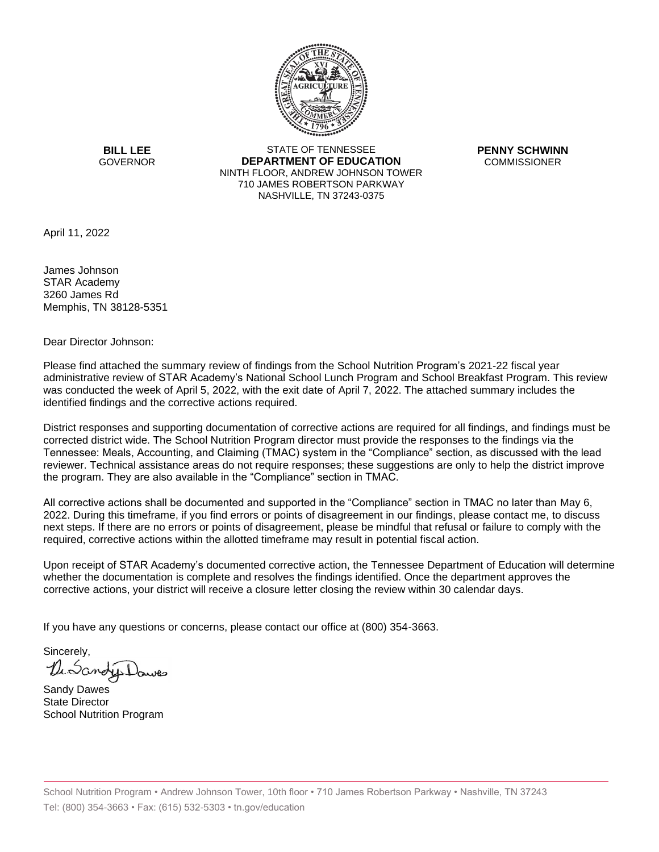

**BILL LEE GOVERNOR** 

STATE OF TENNESSEE **DEPARTMENT OF EDUCATION** NINTH FLOOR, ANDREW JOHNSON TOWER 710 JAMES ROBERTSON PARKWAY NASHVILLE, TN 37243-0375

**PENNY SCHWINN COMMISSIONER** 

April 11, 2022

James Johnson STAR Academy 3260 James Rd Memphis, TN 38128-5351

Dear Director Johnson:

Please find attached the summary review of findings from the School Nutrition Program's 2021-22 fiscal year administrative review of STAR Academy's National School Lunch Program and School Breakfast Program. This review was conducted the week of April 5, 2022, with the exit date of April 7, 2022. The attached summary includes the identified findings and the corrective actions required.

District responses and supporting documentation of corrective actions are required for all findings, and findings must be corrected district wide. The School Nutrition Program director must provide the responses to the findings via the Tennessee: Meals, Accounting, and Claiming (TMAC) system in the "Compliance" section, as discussed with the lead reviewer. Technical assistance areas do not require responses; these suggestions are only to help the district improve the program. They are also available in the "Compliance" section in TMAC.

All corrective actions shall be documented and supported in the "Compliance" section in TMAC no later than May 6, 2022. During this timeframe, if you find errors or points of disagreement in our findings, please contact me, to discuss next steps. If there are no errors or points of disagreement, please be mindful that refusal or failure to comply with the required, corrective actions within the allotted timeframe may result in potential fiscal action.

Upon receipt of STAR Academy's documented corrective action, the Tennessee Department of Education will determine whether the documentation is complete and resolves the findings identified. Once the department approves the corrective actions, your district will receive a closure letter closing the review within 30 calendar days.

If you have any questions or concerns, please contact our office at (800) 354-3663.

Sincerely, LuSang

Sandy Dawes State Director School Nutrition Program